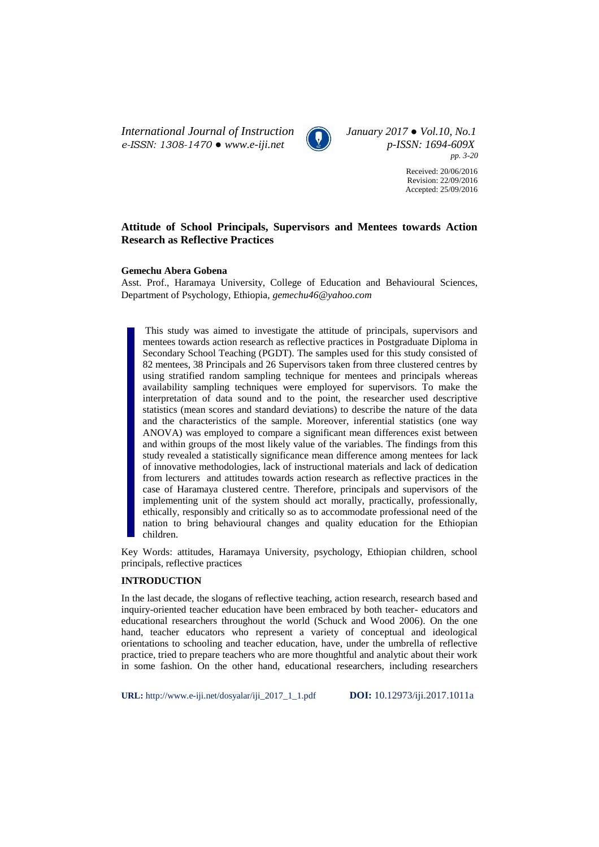*International Journal of Instruction January 2017 ● Vol.10, No.1 e-ISSN: 1308-1470 ● www.e-iji.net p-ISSN: 1694-609X*



*pp. 3-20*

Received: 20/06/2016 Revision: 22/09/2016 Accepted: 25/09/2016

# **Attitude of School Principals, Supervisors and Mentees towards Action Research as Reflective Practices**

## **Gemechu Abera Gobena**

Asst. Prof., Haramaya University, College of Education and Behavioural Sciences, Department of Psychology, Ethiopia, *[gemechu46@yahoo.com](mailto:gemechu46@yahoo.com)*

This study was aimed to investigate the attitude of principals, supervisors and mentees towards action research as reflective practices in Postgraduate Diploma in Secondary School Teaching (PGDT). The samples used for this study consisted of 82 mentees, 38 Principals and 26 Supervisors taken from three clustered centres by using stratified random sampling technique for mentees and principals whereas availability sampling techniques were employed for supervisors. To make the interpretation of data sound and to the point, the researcher used descriptive statistics (mean scores and standard deviations) to describe the nature of the data and the characteristics of the sample. Moreover, inferential statistics (one way ANOVA) was employed to compare a significant mean differences exist between and within groups of the most likely value of the variables. The findings from this study revealed a statistically significance mean difference among mentees for lack of innovative methodologies, lack of instructional materials and lack of dedication from lecturers and attitudes towards action research as reflective practices in the case of Haramaya clustered centre. Therefore, principals and supervisors of the implementing unit of the system should act morally, practically, professionally, ethically, responsibly and critically so as to accommodate professional need of the nation to bring behavioural changes and quality education for the Ethiopian children.

Key Words: attitudes, Haramaya University, psychology, Ethiopian children, school principals, reflective practices

## **INTRODUCTION**

In the last decade, the slogans of reflective teaching, action research, research based and inquiry-oriented teacher education have been embraced by both teacher- educators and educational researchers throughout the world (Schuck and Wood 2006). On the one hand, teacher educators who represent a variety of conceptual and ideological orientations to schooling and teacher education, have, under the umbrella of reflective practice, tried to prepare teachers who are more thoughtful and analytic about their work in some fashion. On the other hand, educational researchers, including researchers

**URL:** http://www.e-iji.net/dosyalar/iji\_2017\_1\_1.pdf **DOI:** 10.12973/iji.2017.1011a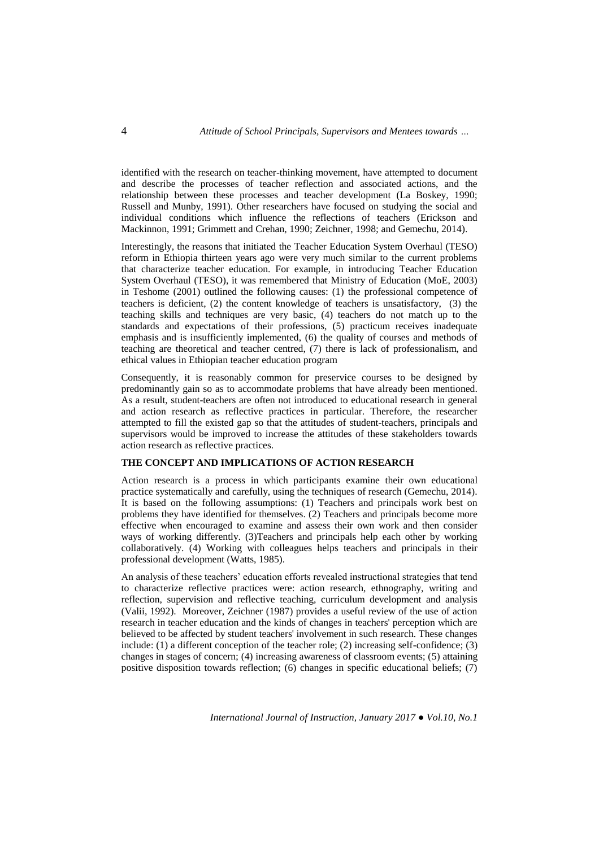identified with the research on teacher-thinking movement, have attempted to document and describe the processes of teacher reflection and associated actions, and the relationship between these processes and teacher development (La Boskey, 1990; Russell and Munby, 1991). Other researchers have focused on studying the social and individual conditions which influence the reflections of teachers (Erickson and Mackinnon, 1991; Grimmett and Crehan, 1990; Zeichner, 1998; and Gemechu, 2014).

Interestingly, the reasons that initiated the Teacher Education System Overhaul (TESO) reform in Ethiopia thirteen years ago were very much similar to the current problems that characterize teacher education. For example, in introducing Teacher Education System Overhaul (TESO), it was remembered that Ministry of Education (MoE, 2003) in Teshome (2001) outlined the following causes: (1) the professional competence of teachers is deficient, (2) the content knowledge of teachers is unsatisfactory, (3) the teaching skills and techniques are very basic, (4) teachers do not match up to the standards and expectations of their professions, (5) practicum receives inadequate emphasis and is insufficiently implemented, (6) the quality of courses and methods of teaching are theoretical and teacher centred, (7) there is lack of professionalism, and ethical values in Ethiopian teacher education program

Consequently, it is reasonably common for preservice courses to be designed by predominantly gain so as to accommodate problems that have already been mentioned. As a result, student-teachers are often not introduced to educational research in general and action research as reflective practices in particular. Therefore, the researcher attempted to fill the existed gap so that the attitudes of student-teachers, principals and supervisors would be improved to increase the attitudes of these stakeholders towards action research as reflective practices.

### **THE CONCEPT AND IMPLICATIONS OF ACTION RESEARCH**

Action research is a process in which participants examine their own educational practice systematically and carefully, using the techniques of research (Gemechu, 2014). It is based on the following assumptions: (1) Teachers and principals work best on problems they have identified for themselves. (2) Teachers and principals become more effective when encouraged to examine and assess their own work and then consider ways of working differently. (3)Teachers and principals help each other by working collaboratively. (4) Working with colleagues helps teachers and principals in their professional development (Watts, 1985).

An analysis of these teachers' education efforts revealed instructional strategies that tend to characterize reflective practices were: action research, ethnography, writing and reflection, supervision and reflective teaching, curriculum development and analysis (Valii, 1992). Moreover, Zeichner (1987) provides a useful review of the use of action research in teacher education and the kinds of changes in teachers' perception which are believed to be affected by student teachers' involvement in such research. These changes include: (1) a different conception of the teacher role; (2) increasing self-confidence; (3) changes in stages of concern; (4) increasing awareness of classroom events; (5) attaining positive disposition towards reflection; (6) changes in specific educational beliefs; (7)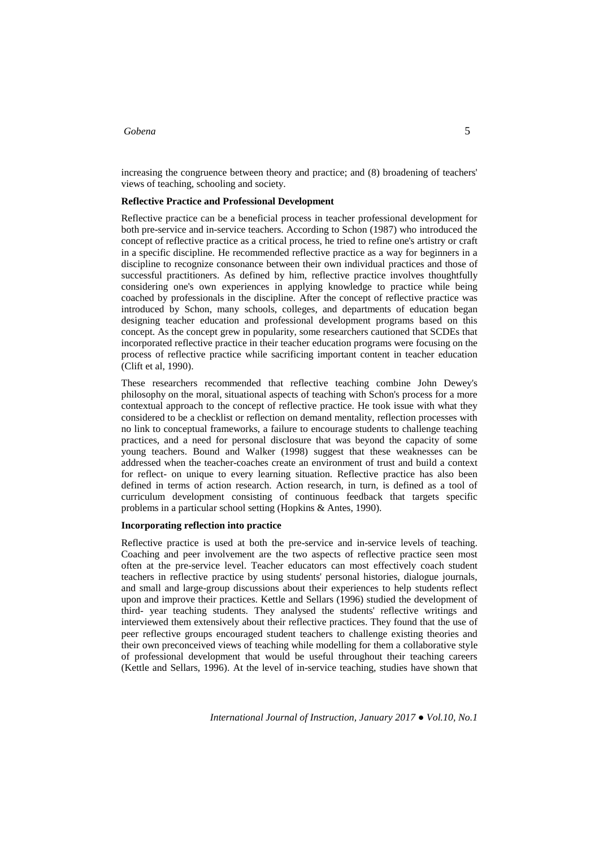increasing the congruence between theory and practice; and (8) broadening of teachers' views of teaching, schooling and society.

### **Reflective Practice and Professional Development**

Reflective practice can be a beneficial process in teacher professional development for both pre-service and in-service teachers. According to Schon (1987) who introduced the concept of reflective practice as a critical process, he tried to refine one's artistry or craft in a specific discipline. He recommended reflective practice as a way for beginners in a discipline to recognize consonance between their own individual practices and those of successful practitioners. As defined by him, reflective practice involves thoughtfully considering one's own experiences in applying knowledge to practice while being coached by professionals in the discipline. After the concept of reflective practice was introduced by Schon, many schools, colleges, and departments of education began designing teacher education and professional development programs based on this concept. As the concept grew in popularity, some researchers cautioned that SCDEs that incorporated reflective practice in their teacher education programs were focusing on the process of reflective practice while sacrificing important content in teacher education (Clift et al, 1990).

These researchers recommended that reflective teaching combine John Dewey's philosophy on the moral, situational aspects of teaching with Schon's process for a more contextual approach to the concept of reflective practice. He took issue with what they considered to be a checklist or reflection on demand mentality, reflection processes with no link to conceptual frameworks, a failure to encourage students to challenge teaching practices, and a need for personal disclosure that was beyond the capacity of some young teachers. Bound and Walker (1998) suggest that these weaknesses can be addressed when the teacher-coaches create an environment of trust and build a context for reflect- on unique to every learning situation. Reflective practice has also been defined in terms of action research. Action research, in turn, is defined as a tool of curriculum development consisting of continuous feedback that targets specific problems in a particular school setting (Hopkins & Antes, 1990).

## **Incorporating reflection into practice**

Reflective practice is used at both the pre-service and in-service levels of teaching. Coaching and peer involvement are the two aspects of reflective practice seen most often at the pre-service level. Teacher educators can most effectively coach student teachers in reflective practice by using students' personal histories, dialogue journals, and small and large-group discussions about their experiences to help students reflect upon and improve their practices. Kettle and Sellars (1996) studied the development of third- year teaching students. They analysed the students' reflective writings and interviewed them extensively about their reflective practices. They found that the use of peer reflective groups encouraged student teachers to challenge existing theories and their own preconceived views of teaching while modelling for them a collaborative style of professional development that would be useful throughout their teaching careers (Kettle and Sellars, 1996). At the level of in-service teaching, studies have shown that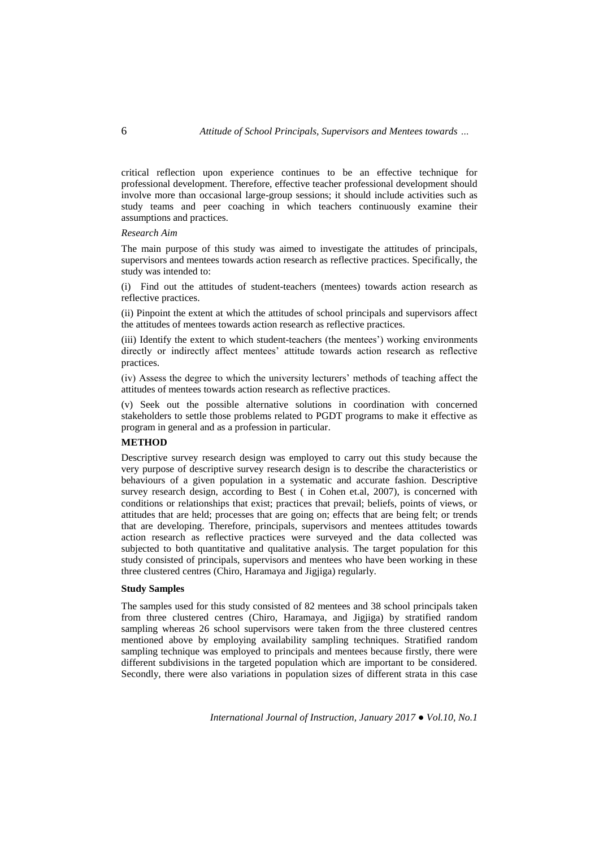critical reflection upon experience continues to be an effective technique for professional development. Therefore, effective teacher professional development should involve more than occasional large-group sessions; it should include activities such as study teams and peer coaching in which teachers continuously examine their assumptions and practices.

### *Research Aim*

The main purpose of this study was aimed to investigate the attitudes of principals, supervisors and mentees towards action research as reflective practices. Specifically, the study was intended to:

(i) Find out the attitudes of student-teachers (mentees) towards action research as reflective practices.

(ii) Pinpoint the extent at which the attitudes of school principals and supervisors affect the attitudes of mentees towards action research as reflective practices.

(iii) Identify the extent to which student-teachers (the mentees') working environments directly or indirectly affect mentees' attitude towards action research as reflective practices.

(iv) Assess the degree to which the university lecturers' methods of teaching affect the attitudes of mentees towards action research as reflective practices.

(v) Seek out the possible alternative solutions in coordination with concerned stakeholders to settle those problems related to PGDT programs to make it effective as program in general and as a profession in particular.

## **METHOD**

Descriptive survey research design was employed to carry out this study because the very purpose of descriptive survey research design is to describe the characteristics or behaviours of a given population in a systematic and accurate fashion. Descriptive survey research design, according to Best ( in Cohen et.al, 2007), is concerned with conditions or relationships that exist; practices that prevail; beliefs, points of views, or attitudes that are held; processes that are going on; effects that are being felt; or trends that are developing. Therefore, principals, supervisors and mentees attitudes towards action research as reflective practices were surveyed and the data collected was subjected to both quantitative and qualitative analysis. The target population for this study consisted of principals, supervisors and mentees who have been working in these three clustered centres (Chiro, Haramaya and Jigjiga) regularly.

## **Study Samples**

The samples used for this study consisted of 82 mentees and 38 school principals taken from three clustered centres (Chiro, Haramaya, and Jigjiga) by stratified random sampling whereas 26 school supervisors were taken from the three clustered centres mentioned above by employing availability sampling techniques. Stratified random sampling technique was employed to principals and mentees because firstly, there were different subdivisions in the targeted population which are important to be considered. Secondly, there were also variations in population sizes of different strata in this case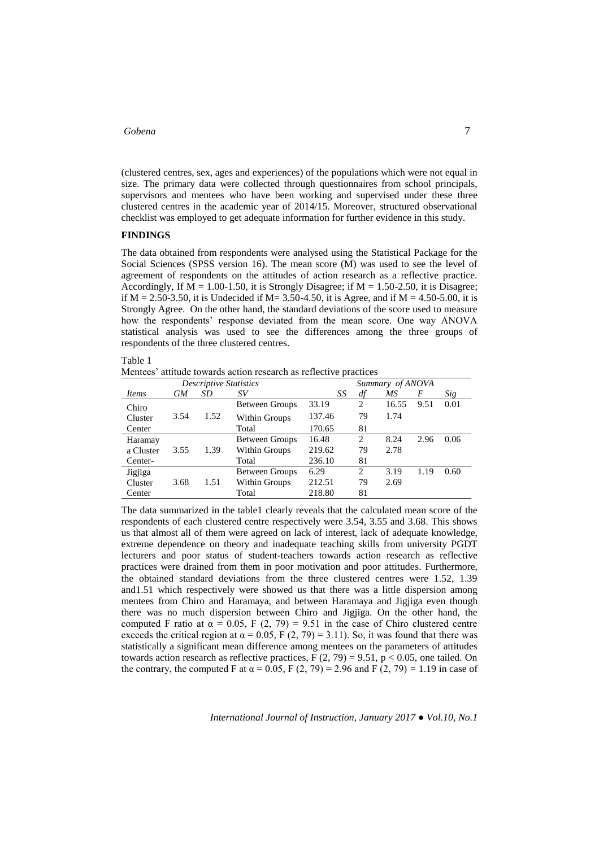(clustered centres, sex, ages and experiences) of the populations which were not equal in size. The primary data were collected through questionnaires from school principals, supervisors and mentees who have been working and supervised under these three clustered centres in the academic year of 2014/15. Moreover, structured observational checklist was employed to get adequate information for further evidence in this study.

### **FINDINGS**

The data obtained from respondents were analysed using the Statistical Package for the Social Sciences (SPSS version 16). The mean score (M) was used to see the level of agreement of respondents on the attitudes of action research as a reflective practice. Accordingly, If  $\overline{M} = 1.00 - 1.50$ , it is Strongly Disagree; if  $M = 1.50 - 2.50$ , it is Disagree; if  $M = 2.50-3.50$ , it is Undecided if  $M = 3.50-4.50$ , it is Agree, and if  $M = 4.50-5.00$ , it is Strongly Agree. On the other hand, the standard deviations of the score used to measure how the respondents' response deviated from the mean score. One way ANOVA statistical analysis was used to see the differences among the three groups of respondents of the three clustered centres.

| able |  |
|------|--|
|------|--|

Mentees' attitude towards action research as reflective practices

|           |      |      | Summary of ANOVA      |        |                |       |      |      |
|-----------|------|------|-----------------------|--------|----------------|-------|------|------|
| Items     | GМ   | SD   | SV                    | SS     | df             | МS    | F    | Sig  |
| Chiro     |      |      | <b>Between Groups</b> | 33.19  | $\overline{2}$ | 16.55 | 9.51 | 0.01 |
| Cluster   | 3.54 | 1.52 | Within Groups         | 137.46 | 79             | 1.74  |      |      |
| Center    |      |      | Total                 | 170.65 | 81             |       |      |      |
| Haramay   |      |      | <b>Between Groups</b> | 16.48  | 2              | 8.24  | 2.96 | 0.06 |
| a Cluster | 3.55 | 1.39 | Within Groups         | 219.62 | 79             | 2.78  |      |      |
| Center-   |      |      | Total                 | 236.10 | 81             |       |      |      |
| Jigjiga   |      |      | Between Groups        | 6.29   | $\overline{c}$ | 3.19  | 1.19 | 0.60 |
| Cluster   | 3.68 | 1.51 | Within Groups         | 212.51 | 79             | 2.69  |      |      |
| Center    |      |      | Total                 | 218.80 | 81             |       |      |      |

The data summarized in the table1 clearly reveals that the calculated mean score of the respondents of each clustered centre respectively were 3.54, 3.55 and 3.68. This shows us that almost all of them were agreed on lack of interest, lack of adequate knowledge, extreme dependence on theory and inadequate teaching skills from university PGDT lecturers and poor status of student-teachers towards action research as reflective practices were drained from them in poor motivation and poor attitudes. Furthermore, the obtained standard deviations from the three clustered centres were 1.52, 1.39 and1.51 which respectively were showed us that there was a little dispersion among mentees from Chiro and Haramaya, and between Haramaya and Jigjiga even though there was no much dispersion between Chiro and Jigjiga. On the other hand, the computed F ratio at  $\alpha = 0.05$ , F (2, 79) = 9.51 in the case of Chiro clustered centre exceeds the critical region at  $\alpha = 0.05$ , F (2, 79) = 3.11). So, it was found that there was statistically a significant mean difference among mentees on the parameters of attitudes towards action research as reflective practices,  $F(2, 79) = 9.51$ ,  $p < 0.05$ , one tailed. On the contrary, the computed F at  $\alpha = 0.05$ , F (2, 79) = 2.96 and F (2, 79) = 1.19 in case of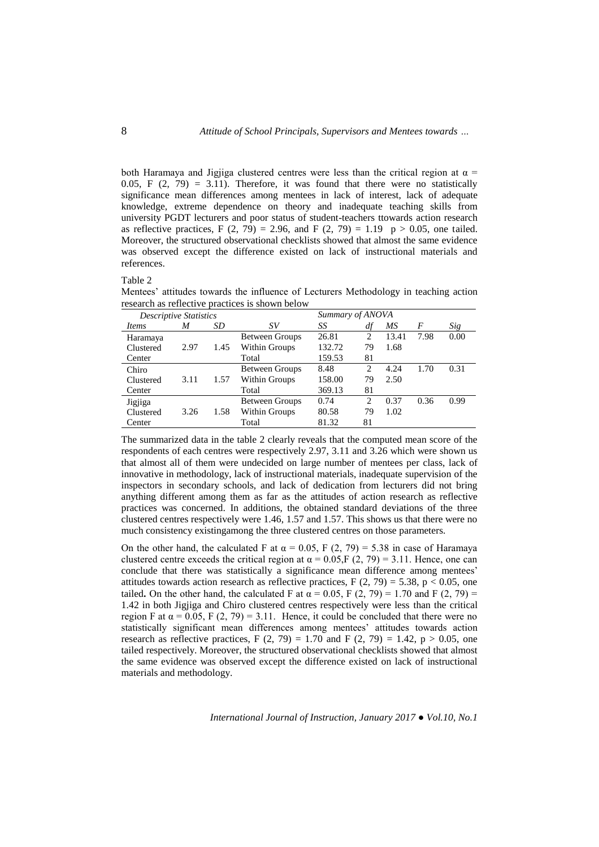both Haramaya and Jigjiga clustered centres were less than the critical region at  $\alpha$  = 0.05, F  $(2, 79) = 3.11$ . Therefore, it was found that there were no statistically significance mean differences among mentees in lack of interest, lack of adequate knowledge, extreme dependence on theory and inadequate teaching skills from university PGDT lecturers and poor status of student-teachers ttowards action research as reflective practices, F  $(2, 79) = 2.96$ , and F  $(2, 79) = 1.19$  p > 0.05, one tailed. Moreover, the structured observational checklists showed that almost the same evidence was observed except the difference existed on lack of instructional materials and references.

Table 2

Mentees' attitudes towards the influence of Lecturers Methodology in teaching action research as reflective practices is shown below

| <b>Descriptive Statistics</b> |      |      |                       | Summary of ANOVA |                |       |      |      |
|-------------------------------|------|------|-----------------------|------------------|----------------|-------|------|------|
| Items                         | M    | SD   | SV                    | SS               | df             | МS    | F    | Sig  |
| Haramaya                      |      |      | <b>Between Groups</b> | 26.81            | $\mathfrak{D}$ | 13.41 | 7.98 | 0.00 |
| Clustered                     | 2.97 | 1.45 | Within Groups         | 132.72           | 79             | 1.68  |      |      |
| Center                        |      |      | Total                 | 159.53           | 81             |       |      |      |
| Chiro                         |      |      | <b>Between Groups</b> | 8.48             | 2              | 4.24  | 1.70 | 0.31 |
| Clustered                     | 3.11 | 1.57 | Within Groups         | 158.00           | 79             | 2.50  |      |      |
| Center                        |      |      | Total                 | 369.13           | 81             |       |      |      |
| Jigjiga                       |      |      | <b>Between Groups</b> | 0.74             | 2              | 0.37  | 0.36 | 0.99 |
| Clustered                     | 3.26 | 1.58 | Within Groups         | 80.58            | 79             | 1.02  |      |      |
| Center                        |      |      | Total                 | 81.32            | 81             |       |      |      |

The summarized data in the table 2 clearly reveals that the computed mean score of the respondents of each centres were respectively 2.97, 3.11 and 3.26 which were shown us that almost all of them were undecided on large number of mentees per class, lack of innovative in methodology, lack of instructional materials, inadequate supervision of the inspectors in secondary schools, and lack of dedication from lecturers did not bring anything different among them as far as the attitudes of action research as reflective practices was concerned. In additions, the obtained standard deviations of the three clustered centres respectively were 1.46, 1.57 and 1.57. This shows us that there were no much consistency existingamong the three clustered centres on those parameters.

On the other hand, the calculated F at  $\alpha = 0.05$ , F (2, 79) = 5.38 in case of Haramaya clustered centre exceeds the critical region at  $\alpha = 0.05$ ,  $F(2, 79) = 3.11$ . Hence, one can conclude that there was statistically a significance mean difference among mentees' attitudes towards action research as reflective practices,  $F(2, 79) = 5.38$ ,  $p < 0.05$ , one tailed. On the other hand, the calculated F at  $\alpha = 0.05$ , F (2, 79) = 1.70 and F (2, 79) = 1.42 in both Jigjiga and Chiro clustered centres respectively were less than the critical region F at  $\alpha$  = 0.05, F (2, 79) = 3.11. Hence, it could be concluded that there were no statistically significant mean differences among mentees' attitudes towards action research as reflective practices, F  $(2, 79) = 1.70$  and F  $(2, 79) = 1.42$ , p > 0.05, one tailed respectively. Moreover, the structured observational checklists showed that almost the same evidence was observed except the difference existed on lack of instructional materials and methodology.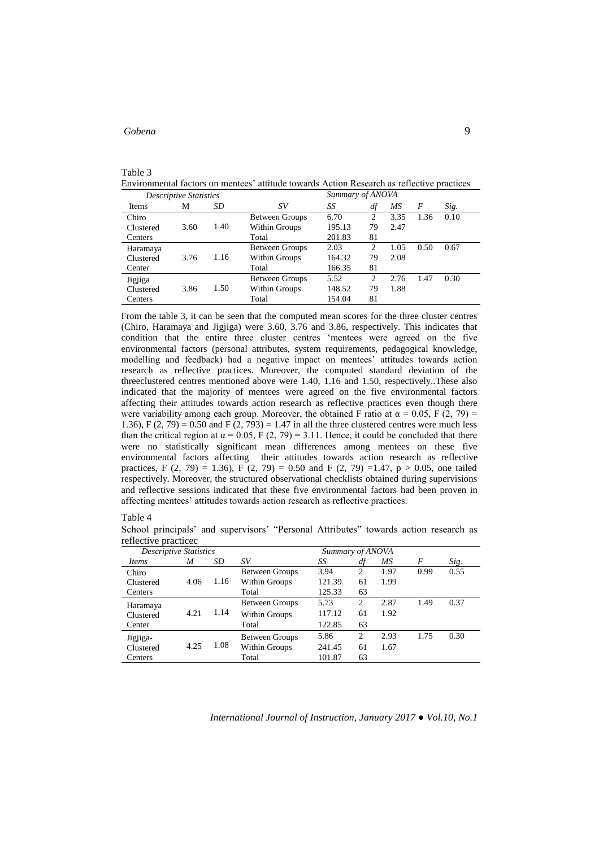## Table 3

Environmental factors on mentees' attitude towards Action Research as reflective practices *Descriptive Statistics Summary of ANOVA*

| Descriptive Diamontes |      |      |                       |        |    |      |      |      |
|-----------------------|------|------|-----------------------|--------|----|------|------|------|
| Items                 | М    | SD   | SV                    | SS     | df | МS   | F    | Sig. |
| Chiro                 |      |      | <b>Between Groups</b> | 6.70   | 2  | 3.35 | 1.36 | 0.10 |
| Clustered             | 3.60 | 1.40 | Within Groups         | 195.13 | 79 | 2.47 |      |      |
| Centers               |      |      | Total                 | 201.83 | 81 |      |      |      |
| Haramaya              |      |      | <b>Between Groups</b> | 2.03   | 2  | 1.05 | 0.50 | 0.67 |
| Clustered             | 3.76 | 1.16 | Within Groups         | 164.32 | 79 | 2.08 |      |      |
| Center                |      |      | Total                 | 166.35 | 81 |      |      |      |
|                       |      |      | <b>Between Groups</b> | 5.52   | 2  | 2.76 | 1.47 | 0.30 |
| Clustered             | 3.86 | 1.50 | Within Groups         | 148.52 | 79 | 1.88 |      |      |
| Centers               |      |      | Total                 | 154.04 | 81 |      |      |      |
| Jigjiga               |      |      |                       |        |    |      |      |      |

From the table 3, it can be seen that the computed mean scores for the three cluster centres (Chiro, Haramaya and Jigjiga) were 3.60, 3.76 and 3.86, respectively. This indicates that condition that the entire three cluster centres 'mentees were agreed on the five environmental factors (personal attributes, system requirements, pedagogical knowledge, modelling and feedback) had a negative impact on mentees' attitudes towards action research as reflective practices. Moreover, the computed standard deviation of the threeclustered centres mentioned above were 1.40, 1.16 and 1.50, respectively..These also indicated that the majority of mentees were agreed on the five environmental factors affecting their attitudes towards action research as reflective practices even though there were variability among each group. Moreover, the obtained F ratio at  $\alpha = 0.05$ , F (2, 79) = 1.36), F  $(2, 79) = 0.50$  and F  $(2, 793) = 1.47$  in all the three clustered centres were much less than the critical region at  $\alpha = 0.05$ , F (2, 79) = 3.11. Hence, it could be concluded that there were no statistically significant mean differences among mentees on these five environmental factors affecting their attitudes towards action research as reflective practices, F (2, 79) = 1.36), F (2, 79) = 0.50 and F (2, 79) =1.47, p > 0.05, one tailed respectively. Moreover, the structured observational checklists obtained during supervisions and reflective sessions indicated that these five environmental factors had been proven in affecting mentees' attitudes towards action research as reflective practices.

### Table 4

School principals' and supervisors' "Personal Attributes" towards action research as reflective practicec

| <b>Descriptive Statistics</b> |      |      |                       | Summary of ANOVA |                |      |      |      |
|-------------------------------|------|------|-----------------------|------------------|----------------|------|------|------|
| <i>Items</i>                  | M    | SD   | SV                    | SS               | df             | МS   | F    | Sig. |
| Chiro                         |      |      | <b>Between Groups</b> | 3.94             | $\overline{c}$ | 1.97 | 0.99 | 0.55 |
| Clustered                     | 4.06 | 1.16 | Within Groups         | 121.39           | 61             | 1.99 |      |      |
| Centers                       |      |      | Total                 | 125.33           | 63             |      |      |      |
| Haramaya                      |      |      | <b>Between Groups</b> | 5.73             | 2              | 2.87 | 1.49 | 0.37 |
| Clustered                     | 4.21 | 1.14 | Within Groups         | 117.12           | 61             | 1.92 |      |      |
| Center                        |      |      | Total                 | 122.85           | 63             |      |      |      |
| Jigjiga-                      |      |      | <b>Between Groups</b> | 5.86             | $\overline{c}$ | 2.93 | 1.75 | 0.30 |
| Clustered                     | 4.25 | 1.08 | Within Groups         | 241.45           | 61             | 1.67 |      |      |
| Centers                       |      |      | Total                 | 101.87           | 63             |      |      |      |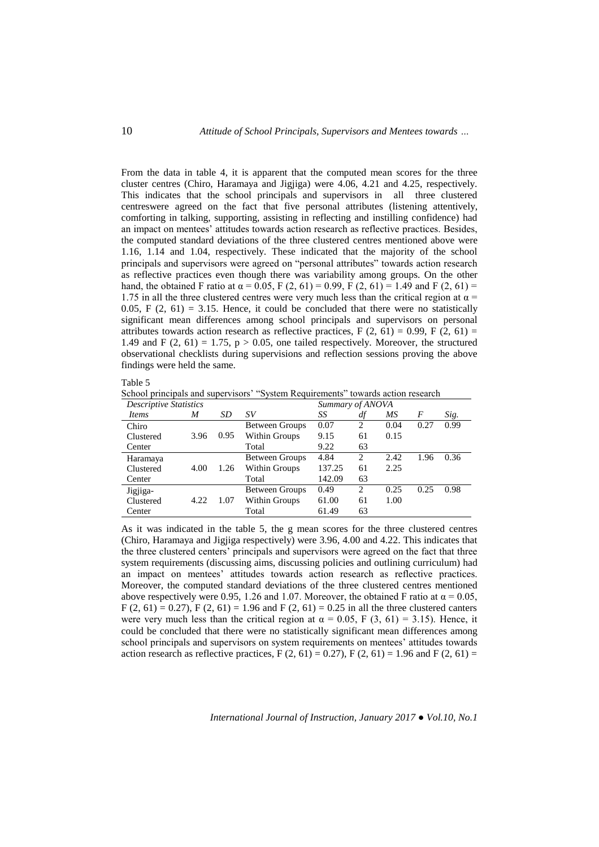From the data in table 4, it is apparent that the computed mean scores for the three cluster centres (Chiro, Haramaya and Jigjiga) were 4.06, 4.21 and 4.25, respectively. This indicates that the school principals and supervisors in all three clustered centreswere agreed on the fact that five personal attributes (listening attentively, comforting in talking, supporting, assisting in reflecting and instilling confidence) had an impact on mentees' attitudes towards action research as reflective practices. Besides, the computed standard deviations of the three clustered centres mentioned above were 1.16, 1.14 and 1.04, respectively. These indicated that the majority of the school principals and supervisors were agreed on "personal attributes" towards action research as reflective practices even though there was variability among groups. On the other hand, the obtained F ratio at  $\alpha = 0.05$ , F (2, 61) = 0.99, F (2, 61) = 1.49 and F (2, 61) = 1.75 in all the three clustered centres were very much less than the critical region at  $\alpha$  = 0.05, F  $(2, 61) = 3.15$ . Hence, it could be concluded that there were no statistically significant mean differences among school principals and supervisors on personal attributes towards action research as reflective practices, F  $(2, 61) = 0.99$ , F  $(2, 61) =$ 1.49 and F  $(2, 61) = 1.75$ ,  $p > 0.05$ , one tailed respectively. Moreover, the structured observational checklists during supervisions and reflection sessions proving the above findings were held the same.

| anie |  |
|------|--|
|      |  |

School principals and supervisors' "System Requirements" towards action research

| <b>Descriptive Statistics</b> |      |      |                       | Summary of ANOVA |                |      |      |      |
|-------------------------------|------|------|-----------------------|------------------|----------------|------|------|------|
| Items                         | M    | SD   | SV                    | SS               | df             | МS   | F    | Sig. |
| Chiro                         |      |      | Between Groups        | 0.07             | 2              | 0.04 | 0.27 | 0.99 |
| Clustered                     | 3.96 | 0.95 | Within Groups         | 9.15             | 61             | 0.15 |      |      |
| Center                        |      |      | Total                 | 9.22             | 63             |      |      |      |
| Haramaya                      |      |      | Between Groups        | 4.84             | 2              | 2.42 | 1.96 | 0.36 |
| Clustered                     | 4.00 | 1.26 | Within Groups         | 137.25           | 61             | 2.25 |      |      |
| Center                        |      |      | Total                 | 142.09           | 63             |      |      |      |
| Jigjiga-                      |      |      | <b>Between Groups</b> | 0.49             | $\overline{c}$ | 0.25 | 0.25 | 0.98 |
| Clustered                     | 4.22 | 1.07 | Within Groups         | 61.00            | 61             | 1.00 |      |      |
| Center                        |      |      | Total                 | 61.49            | 63             |      |      |      |

As it was indicated in the table 5, the g mean scores for the three clustered centres (Chiro, Haramaya and Jigjiga respectively) were 3.96, 4.00 and 4.22. This indicates that the three clustered centers' principals and supervisors were agreed on the fact that three system requirements (discussing aims, discussing policies and outlining curriculum) had an impact on mentees' attitudes towards action research as reflective practices. Moreover, the computed standard deviations of the three clustered centres mentioned above respectively were 0.95, 1.26 and 1.07. Moreover, the obtained F ratio at  $\alpha = 0.05$ ,  $F(2, 61) = 0.27$ ,  $F(2, 61) = 1.96$  and  $F(2, 61) = 0.25$  in all the three clustered canters were very much less than the critical region at  $\alpha = 0.05$ , F (3, 61) = 3.15). Hence, it could be concluded that there were no statistically significant mean differences among school principals and supervisors on system requirements on mentees' attitudes towards action research as reflective practices, F  $(2, 61) = 0.27$ , F  $(2, 61) = 1.96$  and F  $(2, 61) =$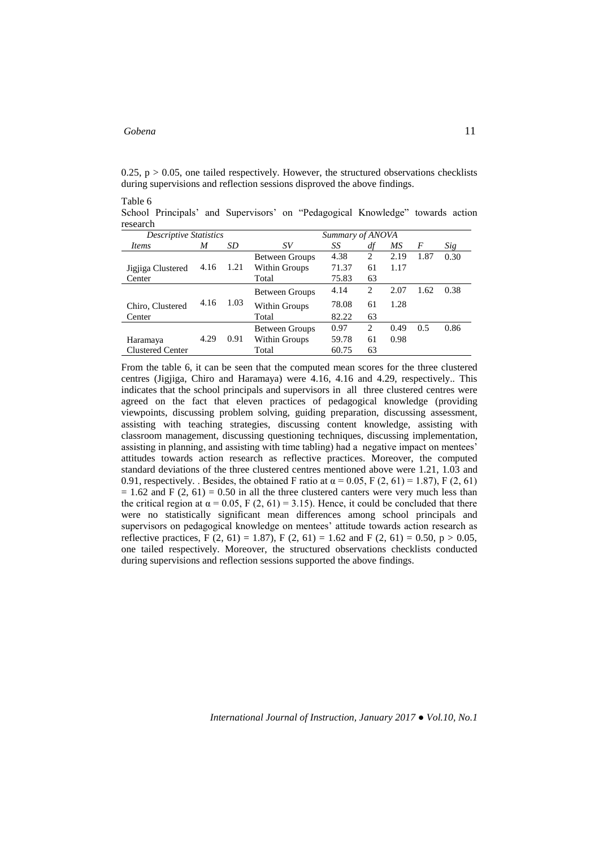0.25,  $p > 0.05$ , one tailed respectively. However, the structured observations checklists during supervisions and reflection sessions disproved the above findings.

Table 6

School Principals' and Supervisors' on "Pedagogical Knowledge" towards action research

| <b>Descriptive Statistics</b> |      |      | Summary of ANOVA      |       |                |      |      |      |
|-------------------------------|------|------|-----------------------|-------|----------------|------|------|------|
| Items                         | M    | SD   | SV                    | SS    | df             | МS   | F    | Sig  |
|                               |      |      | <b>Between Groups</b> | 4.38  | $\overline{c}$ | 2.19 | 1.87 | 0.30 |
| Jigjiga Clustered             | 4.16 | 1.21 | Within Groups         | 71.37 | 61             | 1.17 |      |      |
| Center                        |      |      | Total                 | 75.83 | 63             |      |      |      |
|                               |      |      | Between Groups        | 4.14  | 2              | 2.07 | 1.62 | 0.38 |
| Chiro, Clustered              | 4.16 | 1.03 | Within Groups         | 78.08 | 61             | 1.28 |      |      |
| Center                        |      |      | Total                 | 82.22 | 63             |      |      |      |
|                               |      |      | <b>Between Groups</b> | 0.97  | 2              | 0.49 | 0.5  | 0.86 |
| Haramaya                      | 4.29 | 0.91 | Within Groups         | 59.78 | 61             | 0.98 |      |      |
| <b>Clustered Center</b>       |      |      | Total                 | 60.75 | 63             |      |      |      |
|                               |      |      |                       |       |                |      |      |      |

From the table 6, it can be seen that the computed mean scores for the three clustered centres (Jigjiga, Chiro and Haramaya) were 4.16, 4.16 and 4.29, respectively.. This indicates that the school principals and supervisors in all three clustered centres were agreed on the fact that eleven practices of pedagogical knowledge (providing viewpoints, discussing problem solving, guiding preparation, discussing assessment, assisting with teaching strategies, discussing content knowledge, assisting with classroom management, discussing questioning techniques, discussing implementation, assisting in planning, and assisting with time tabling) had a negative impact on mentees' attitudes towards action research as reflective practices. Moreover, the computed standard deviations of the three clustered centres mentioned above were 1.21, 1.03 and 0.91, respectively. . Besides, the obtained F ratio at  $\alpha = 0.05$ , F (2, 61) = 1.87), F (2, 61)  $= 1.62$  and F (2, 61) = 0.50 in all the three clustered canters were very much less than the critical region at  $\alpha = 0.05$ , F (2, 61) = 3.15). Hence, it could be concluded that there were no statistically significant mean differences among school principals and supervisors on pedagogical knowledge on mentees' attitude towards action research as reflective practices,  $F(2, 61) = 1.87$ ,  $F(2, 61) = 1.62$  and  $F(2, 61) = 0.50$ ,  $p > 0.05$ , one tailed respectively. Moreover, the structured observations checklists conducted during supervisions and reflection sessions supported the above findings.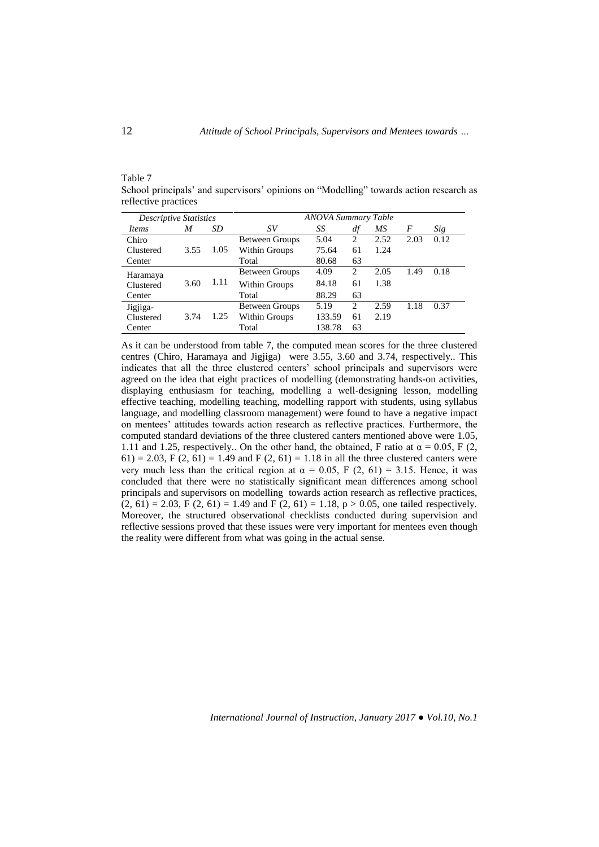### Table 7

School principals' and supervisors' opinions on "Modelling" towards action research as reflective practices

| <b>Descriptive Statistics</b> |      |      | <b>ANOVA Summary Table</b> |        |                |      |      |      |
|-------------------------------|------|------|----------------------------|--------|----------------|------|------|------|
| Items                         | M    | SD   | SV                         | SS     | df             | МS   | F    | Sig  |
| Chiro                         |      |      | Between Groups             | 5.04   | $\overline{c}$ | 2.52 | 2.03 | 0.12 |
| Clustered                     | 3.55 | 1.05 | Within Groups              | 75.64  | 61             | 1.24 |      |      |
| Center                        |      |      | Total                      | 80.68  | 63             |      |      |      |
| Haramaya                      |      |      | <b>Between Groups</b>      | 4.09   | 2              | 2.05 | 1.49 | 0.18 |
| Clustered                     | 3.60 | 1.11 | Within Groups              | 84.18  | 61             | 1.38 |      |      |
| Center                        |      |      | Total                      | 88.29  | 63             |      |      |      |
| Jigjiga-                      |      |      | <b>Between Groups</b>      | 5.19   | $\overline{c}$ | 2.59 | 1.18 | 0.37 |
| Clustered                     | 3.74 | 1.25 | Within Groups              | 133.59 | 61             | 2.19 |      |      |
| Center                        |      |      | Total                      | 138.78 | 63             |      |      |      |

As it can be understood from table 7, the computed mean scores for the three clustered centres (Chiro, Haramaya and Jigjiga) were 3.55, 3.60 and 3.74, respectively.. This indicates that all the three clustered centers' school principals and supervisors were agreed on the idea that eight practices of modelling (demonstrating hands-on activities, displaying enthusiasm for teaching, modelling a well-designing lesson, modelling effective teaching, modelling teaching, modelling rapport with students, using syllabus language, and modelling classroom management) were found to have a negative impact on mentees' attitudes towards action research as reflective practices. Furthermore, the computed standard deviations of the three clustered canters mentioned above were 1.05, 1.11 and 1.25, respectively.. On the other hand, the obtained, F ratio at  $\alpha = 0.05$ , F (2, 61) = 2.03, F (2, 61) = 1.49 and F (2, 61) = 1.18 in all the three clustered canters were very much less than the critical region at  $\alpha = 0.05$ , F (2, 61) = 3.15. Hence, it was concluded that there were no statistically significant mean differences among school principals and supervisors on modelling towards action research as reflective practices,  $(2, 61) = 2.03$ , F  $(2, 61) = 1.49$  and F  $(2, 61) = 1.18$ , p > 0.05, one tailed respectively. Moreover, the structured observational checklists conducted during supervision and reflective sessions proved that these issues were very important for mentees even though the reality were different from what was going in the actual sense.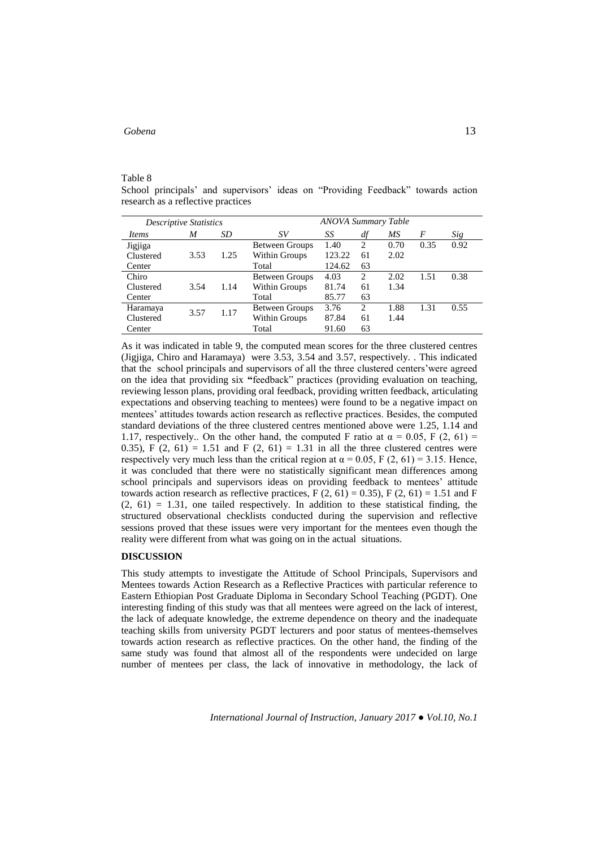#### Table 8

School principals' and supervisors' ideas on "Providing Feedback" towards action research as a reflective practices

|              | <b>Descriptive Statistics</b> |      |                | <b>ANOVA Summary Table</b> |                |      |      |      |
|--------------|-------------------------------|------|----------------|----------------------------|----------------|------|------|------|
| <i>Items</i> | M                             | SD   | SV             | SS                         | df             | МS   | F    | Sig  |
| Jigjiga      |                               |      | Between Groups | 1.40                       | $\mathfrak{D}$ | 0.70 | 0.35 | 0.92 |
| Clustered    | 3.53                          | 1.25 | Within Groups  | 123.22                     | 61             | 2.02 |      |      |
| Center       |                               |      | Total          | 124.62                     | 63             |      |      |      |
| Chiro        |                               |      | Between Groups | 4.03                       | $\overline{c}$ | 2.02 | 1.51 | 0.38 |
| Clustered    | 3.54                          | 1.14 | Within Groups  | 81.74                      | 61             | 1.34 |      |      |
| Center       |                               |      | Total          | 85.77                      | 63             |      |      |      |
| Haramaya     | 3.57                          | 1.17 | Between Groups | 3.76                       | $\mathfrak{D}$ | 1.88 | 1.31 | 0.55 |
| Clustered    |                               |      | Within Groups  | 87.84                      | 61             | 1.44 |      |      |
| Center       |                               |      | Total          | 91.60                      | 63             |      |      |      |

As it was indicated in table 9, the computed mean scores for the three clustered centres (Jigjiga, Chiro and Haramaya) were 3.53, 3.54 and 3.57, respectively. . This indicated that the school principals and supervisors of all the three clustered centers'were agreed on the idea that providing six **"**feedback" practices (providing evaluation on teaching, reviewing lesson plans, providing oral feedback, providing written feedback, articulating expectations and observing teaching to mentees) were found to be a negative impact on mentees' attitudes towards action research as reflective practices. Besides, the computed standard deviations of the three clustered centres mentioned above were 1.25, 1.14 and 1.17, respectively.. On the other hand, the computed F ratio at  $\alpha = 0.05$ , F (2, 61) = 0.35),  $F(2, 61) = 1.51$  and  $F(2, 61) = 1.31$  in all the three clustered centres were respectively very much less than the critical region at  $\alpha = 0.05$ , F (2, 61) = 3.15. Hence, it was concluded that there were no statistically significant mean differences among school principals and supervisors ideas on providing feedback to mentees' attitude towards action research as reflective practices, F  $(2, 61) = 0.35$ , F  $(2, 61) = 1.51$  and F  $(2, 61) = 1.31$ , one tailed respectively. In addition to these statistical finding, the structured observational checklists conducted during the supervision and reflective sessions proved that these issues were very important for the mentees even though the reality were different from what was going on in the actual situations.

### **DISCUSSION**

This study attempts to investigate the Attitude of School Principals, Supervisors and Mentees towards Action Research as a Reflective Practices with particular reference to Eastern Ethiopian Post Graduate Diploma in Secondary School Teaching (PGDT). One interesting finding of this study was that all mentees were agreed on the lack of interest, the lack of adequate knowledge, the extreme dependence on theory and the inadequate teaching skills from university PGDT lecturers and poor status of mentees-themselves towards action research as reflective practices. On the other hand, the finding of the same study was found that almost all of the respondents were undecided on large number of mentees per class, the lack of innovative in methodology, the lack of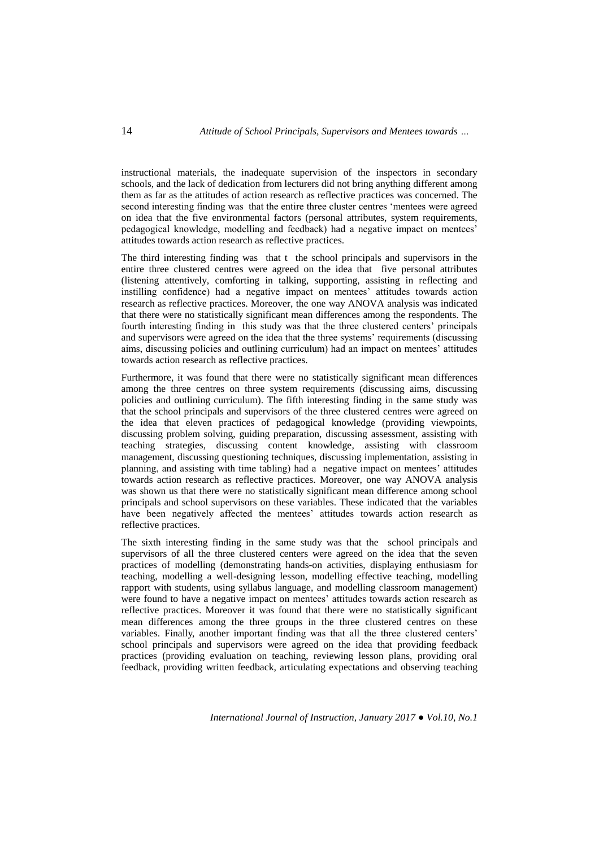instructional materials, the inadequate supervision of the inspectors in secondary schools, and the lack of dedication from lecturers did not bring anything different among them as far as the attitudes of action research as reflective practices was concerned. The second interesting finding was that the entire three cluster centres 'mentees were agreed on idea that the five environmental factors (personal attributes, system requirements, pedagogical knowledge, modelling and feedback) had a negative impact on mentees' attitudes towards action research as reflective practices.

The third interesting finding was that t the school principals and supervisors in the entire three clustered centres were agreed on the idea that five personal attributes (listening attentively, comforting in talking, supporting, assisting in reflecting and instilling confidence) had a negative impact on mentees' attitudes towards action research as reflective practices. Moreover, the one way ANOVA analysis was indicated that there were no statistically significant mean differences among the respondents. The fourth interesting finding in this study was that the three clustered centers' principals and supervisors were agreed on the idea that the three systems' requirements (discussing aims, discussing policies and outlining curriculum) had an impact on mentees' attitudes towards action research as reflective practices.

Furthermore, it was found that there were no statistically significant mean differences among the three centres on three system requirements (discussing aims, discussing policies and outlining curriculum). The fifth interesting finding in the same study was that the school principals and supervisors of the three clustered centres were agreed on the idea that eleven practices of pedagogical knowledge (providing viewpoints, discussing problem solving, guiding preparation, discussing assessment, assisting with teaching strategies, discussing content knowledge, assisting with classroom management, discussing questioning techniques, discussing implementation, assisting in planning, and assisting with time tabling) had a negative impact on mentees' attitudes towards action research as reflective practices. Moreover, one way ANOVA analysis was shown us that there were no statistically significant mean difference among school principals and school supervisors on these variables. These indicated that the variables have been negatively affected the mentees' attitudes towards action research as reflective practices.

The sixth interesting finding in the same study was that the school principals and supervisors of all the three clustered centers were agreed on the idea that the seven practices of modelling (demonstrating hands-on activities, displaying enthusiasm for teaching, modelling a well-designing lesson, modelling effective teaching, modelling rapport with students, using syllabus language, and modelling classroom management) were found to have a negative impact on mentees' attitudes towards action research as reflective practices. Moreover it was found that there were no statistically significant mean differences among the three groups in the three clustered centres on these variables. Finally, another important finding was that all the three clustered centers' school principals and supervisors were agreed on the idea that providing feedback practices (providing evaluation on teaching, reviewing lesson plans, providing oral feedback, providing written feedback, articulating expectations and observing teaching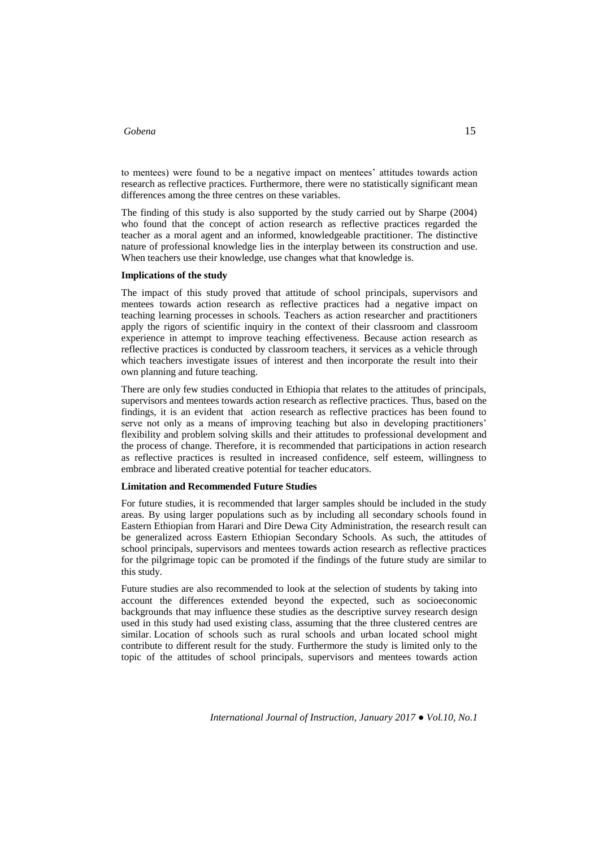to mentees) were found to be a negative impact on mentees' attitudes towards action research as reflective practices. Furthermore, there were no statistically significant mean differences among the three centres on these variables.

The finding of this study is also supported by the study carried out by Sharpe (2004) who found that the concept of action research as reflective practices regarded the teacher as a moral agent and an informed, knowledgeable practitioner. The distinctive nature of professional knowledge lies in the interplay between its construction and use. When teachers use their knowledge, use changes what that knowledge is.

### **Implications of the study**

The impact of this study proved that attitude of school principals, supervisors and mentees towards action research as reflective practices had a negative impact on teaching learning processes in schools. Teachers as action researcher and practitioners apply the rigors of scientific inquiry in the context of their classroom and classroom experience in attempt to improve teaching effectiveness. Because action research as reflective practices is conducted by classroom teachers, it services as a vehicle through which teachers investigate issues of interest and then incorporate the result into their own planning and future teaching.

There are only few studies conducted in Ethiopia that relates to the attitudes of principals, supervisors and mentees towards action research as reflective practices. Thus, based on the findings, it is an evident that action research as reflective practices has been found to serve not only as a means of improving teaching but also in developing practitioners' flexibility and problem solving skills and their attitudes to professional development and the process of change. Therefore, it is recommended that participations in action research as reflective practices is resulted in increased confidence, self esteem, willingness to embrace and liberated creative potential for teacher educators.

### **Limitation and Recommended Future Studies**

For future studies, it is recommended that larger samples should be included in the study areas. By using larger populations such as by including all secondary schools found in Eastern Ethiopian from Harari and Dire Dewa City Administration, the research result can be generalized across Eastern Ethiopian Secondary Schools. As such, the attitudes of school principals, supervisors and mentees towards action research as reflective practices for the pilgrimage topic can be promoted if the findings of the future study are similar to this study.

Future studies are also recommended to look at the selection of students by taking into account the differences extended beyond the expected, such as socioeconomic backgrounds that may influence these studies as the descriptive survey research design used in this study had used existing class, assuming that the three clustered centres are similar. Location of schools such as rural schools and urban located school might contribute to different result for the study. Furthermore the study is limited only to the topic of the attitudes of school principals, supervisors and mentees towards action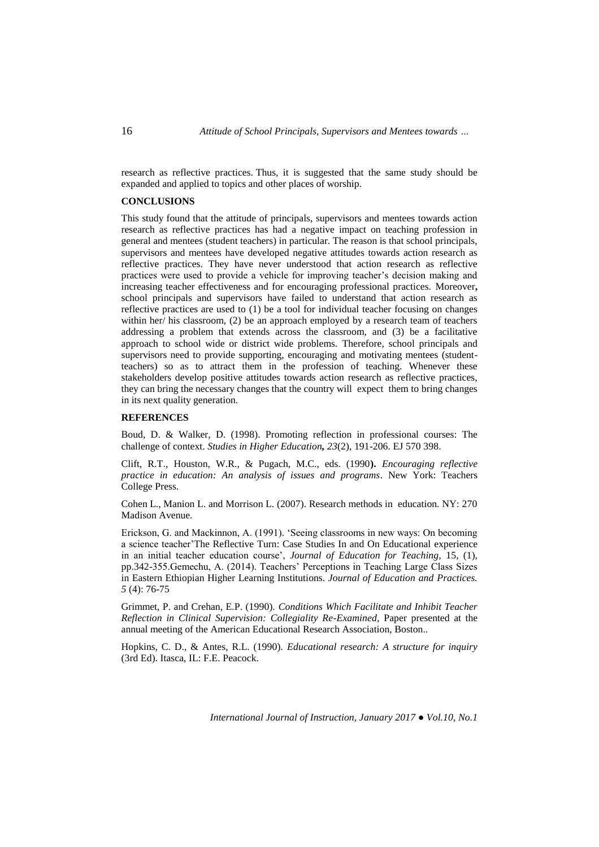research as reflective practices. Thus, it is suggested that the same study should be expanded and applied to topics and other places of worship.

### **CONCLUSIONS**

This study found that the attitude of principals, supervisors and mentees towards action research as reflective practices has had a negative impact on teaching profession in general and mentees (student teachers) in particular. The reason is that school principals, supervisors and mentees have developed negative attitudes towards action research as reflective practices. They have never understood that action research as reflective practices were used to provide a vehicle for improving teacher's decision making and increasing teacher effectiveness and for encouraging professional practices. Moreover**,**  school principals and supervisors have failed to understand that action research as reflective practices are used to (1) be a tool for individual teacher focusing on changes within her/ his classroom, (2) be an approach employed by a research team of teachers addressing a problem that extends across the classroom, and (3) be a facilitative approach to school wide or district wide problems. Therefore, school principals and supervisors need to provide supporting, encouraging and motivating mentees (studentteachers) so as to attract them in the profession of teaching. Whenever these stakeholders develop positive attitudes towards action research as reflective practices, they can bring the necessary changes that the country will expect them to bring changes in its next quality generation.

### **REFERENCES**

Boud, D. & Walker, D. (1998). Promoting reflection in professional courses: The challenge of context. *Studies in Higher Education, 23*(2), 191-206. EJ 570 398.

Clift, R.T., Houston, W.R., & Pugach, M.C., eds. (1990**).** *Encouraging reflective practice in education: An analysis of issues and programs*. New York: Teachers College Press.

Cohen L., Manion L. and Morrison L. (2007). Research methods in education. NY: 270 Madison Avenue.

Erickson, G. and Mackinnon, A. (1991). 'Seeing classrooms in new ways: On becoming a science teacher'The Reflective Turn: Case Studies In and On Educational experience in an initial teacher education course', *Journal of Education for Teaching,* 15, (1), pp.342-355.Gemechu, A. (2014). Teachers' Perceptions in Teaching Large Class Sizes in Eastern Ethiopian Higher Learning Institutions. *Journal of Education and Practices. 5* (4): 76-75

Grimmet, P. and Crehan, E.P. (1990). *Conditions Which Facilitate and Inhibit Teacher Reflection in Clinical Supervision: Collegiality Re-Examined, Paper presented at the* annual meeting of the American Educational Research Association, Boston..

Hopkins, C. D., & Antes, R.L. (1990). *Educational research: A structure for inquiry* (3rd Ed). Itasca, IL: F.E. Peacock.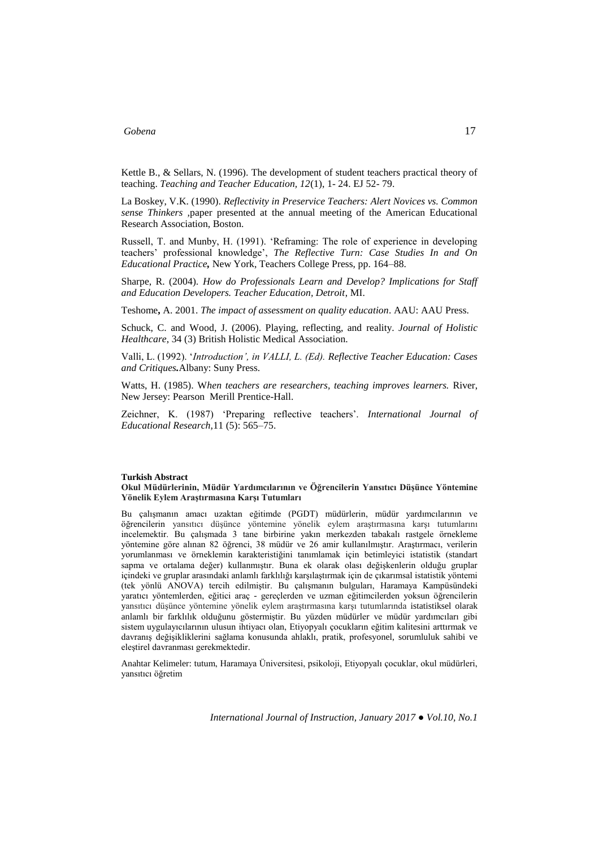Kettle B., & Sellars, N. (1996). The development of student teachers practical theory of teaching. *Teaching and Teacher Education, 12*(1), 1- 24. EJ 52- 79.

La Boskey, V.K. (1990). *Reflectivity in Preservice Teachers: Alert Novices vs. Common sense Thinkers ,*paper presented at the annual meeting of the American Educational Research Association, Boston.

Russell, T. and Munby, H. (1991). 'Reframing: The role of experience in developing teachers' professional knowledge', *The Reflective Turn: Case Studies In and On Educational Practice,* New York, Teachers College Press, pp. 164–88.

Sharpe, R. (2004). *How do Professionals Learn and Develop? Implications for Staff and Education Developers. Teacher Education, Detroit*, MI.

Teshome**,** A. 2001. *The impact of assessment on quality education*. AAU: AAU Press.

Schuck, C. and Wood, J. (2006). Playing, reflecting, and reality. *Journal of Holistic Healthcare*, 34 (3) British Holistic Medical Association.

Valli, L. (1992). '*Introduction', in VALLI, L. (Ed). Reflective Teacher Education: Cases and Critiques.*Albany: Suny Press.

Watts, H. (1985). W*hen teachers are researchers, teaching improves learners.* River, New Jersey: Pearson Merill Prentice-Hall.

Zeichner, K. (1987) 'Preparing reflective teachers'. *International Journal of Educational Research,*11 (5): 565–75.

### **Turkish Abstract**

### **Okul Müdürlerinin, Müdür Yardımcılarının ve Öğrencilerin Yansıtıcı Düşünce Yöntemine Yönelik Eylem Araştırmasına Karşı Tutumları**

Bu çalışmanın amacı uzaktan eğitimde (PGDT) müdürlerin, müdür yardımcılarının ve öğrencilerin yansıtıcı düşünce yöntemine yönelik eylem araştırmasına karşı tutumlarını incelemektir. Bu çalışmada 3 tane birbirine yakın merkezden tabakalı rastgele örnekleme yöntemine göre alınan 82 öğrenci, 38 müdür ve 26 amir kullanılmıştır. Araştırmacı, verilerin yorumlanması ve örneklemin karakteristiğini tanımlamak için betimleyici istatistik (standart sapma ve ortalama değer) kullanmıştır. Buna ek olarak olası değişkenlerin olduğu gruplar içindeki ve gruplar arasındaki anlamlı farklılığı karşılaştırmak için de çıkarımsal istatistik yöntemi (tek yönlü ANOVA) tercih edilmiştir. Bu çalışmanın bulguları, Haramaya Kampüsündeki yaratıcı yöntemlerden, eğitici araç - gereçlerden ve uzman eğitimcilerden yoksun öğrencilerin yansıtıcı düşünce yöntemine yönelik eylem araştırmasına karşı tutumlarında istatistiksel olarak anlamlı bir farklılık olduğunu göstermiştir. Bu yüzden müdürler ve müdür yardımcıları gibi sistem uygulayıcılarının ulusun ihtiyacı olan, Etiyopyalı çocukların eğitim kalitesini arttırmak ve davranış değişikliklerini sağlama konusunda ahlaklı, pratik, profesyonel, sorumluluk sahibi ve eleştirel davranması gerekmektedir.

Anahtar Kelimeler: tutum, Haramaya Üniversitesi, psikoloji, Etiyopyalı çocuklar, okul müdürleri, yansıtıcı öğretim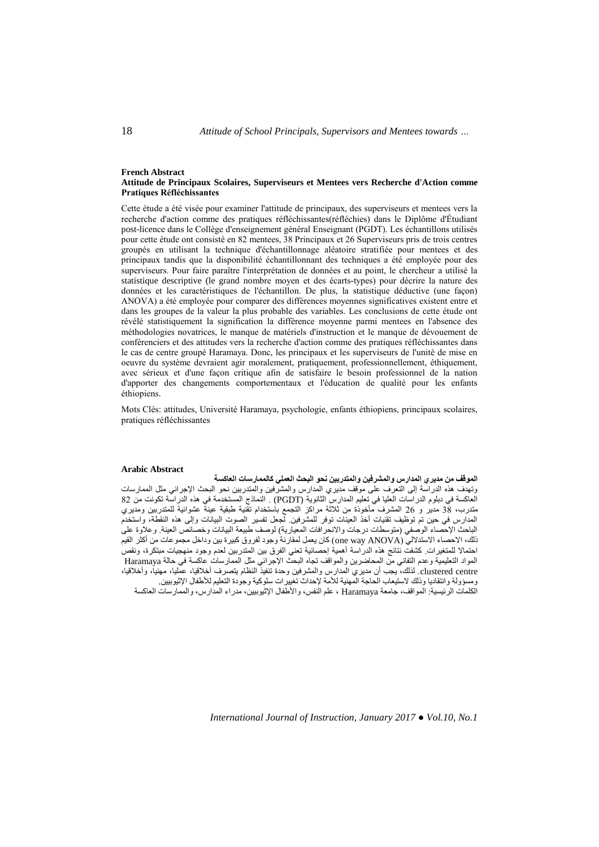#### **French Abstract Attitude de Principaux Scolaires, Superviseurs et Mentees vers Recherche d'Action comme Pratiques Réfléchissantes**

Cette étude a été visée pour examiner l'attitude de principaux, des superviseurs et mentees vers la recherche d'action comme des pratiques réfléchissantes(réfléchies) dans le Diplôme d'Étudiant post-licence dans le Collège d'enseignement général Enseignant (PGDT). Les échantillons utilisés pour cette étude ont consisté en 82 mentees, 38 Principaux et 26 Superviseurs pris de trois centres groupés en utilisant la technique d'échantillonnage aléatoire stratifiée pour mentees et des principaux tandis que la disponibilité échantillonnant des techniques a été employée pour des superviseurs. Pour faire paraître l'interprétation de données et au point, le chercheur a utilisé la statistique descriptive (le grand nombre moyen et des écarts-types) pour décrire la nature des données et les caractéristiques de l'échantillon. De plus, la statistique déductive (une façon) ANOVA) a été employée pour comparer des différences moyennes significatives existent entre et dans les groupes de la valeur la plus probable des variables. Les conclusions de cette étude ont révélé statistiquement la signification la différence moyenne parmi mentees en l'absence des méthodologies novatrices, le manque de matériels d'instruction et le manque de dévouement de conférenciers et des attitudes vers la recherche d'action comme des pratiques réfléchissantes dans le cas de centre groupé Haramaya. Donc, les principaux et les superviseurs de l'unité de mise en oeuvre du système devraient agir moralement, pratiquement, professionnellement, éthiquement, avec sérieux et d'une façon critique afin de satisfaire le besoin professionnel de la nation d'apporter des changements comportementaux et l'éducation de qualité pour les enfants éthiopiens.

Mots Clés: attitudes, Université Haramaya, psychologie, enfants éthiopiens, principaux scolaires, pratiques réfléchissantes

### **Arabic Abstract**

**الموقف من مديري المدارس والمشرفين والمتدربين نحو البحث العملي كالممارسات العاكسة** وتهدف هذه الدراسة إلى التعرف على موقف مديري المدارس والمشرفين والمتدربين نحو البحث اإلجرائي مثل الممارسات العاكسة في دبلوم الدراسات العليا في تعليم المدارس الثانوية (PGDT (. النماذج المستخدمة في هذه الدراسة تكونت من 28 متدرب، 82 مدير و 82 المشرف مأخوذة من ثالثة مراكز التجمع باستخدام تقنية طبقية عينة عشوائية للمتدربين ومديري المدارس في حين تم توظيف تقنيات أخذ العينات توفر للمشرفين. لجعل تفسير الصوت البيانات وإلى هذه النقطة، واستخدم الباحث الإحصاء الوصفي (متوسطات درجات والانحرافات المعيارية) لوصف طبيعة البيانات وخصائص العينة. وعلاوة على ذلك، الاحصاء الاستدلالي (one way ANOVA) كان يعمل لمقارنة وجود لفروق كبيرة بين وداخل مجموعات من أكثر القيم احتماال للمتغيرات. كشفت نتائج هذه الدراسة أهمية إحصائية تعني الفرق بين المتدربين لعدم وجود منهجيات مبتكرة، ونقص المواد التعليمية وعدم التفاني من المحاضرين والمواقف تجاه البحث اإلجرائي مثل الممارسات عاكسة في حالة Haramaya centre clustered. لذلك، يجب أن مديري المدارس والمشرفين وحدة تنفيذ النظام يتصرف أخالقيا، عمليا، مهنيا، وأخالقيا، ومسؤولة وانتقاديا وذلك الستيعاب الحاجة المهنية لألمة إلحداث تغييرات سلوكية وجودة التعليم لألطفال اإلثيوبيين. الكلمات الرئيسية: المواقف، جامعة Haramaya ، علم النفس، واألطفال اإلثيوبيين، مدراء المدارس، والممارسات العاكسة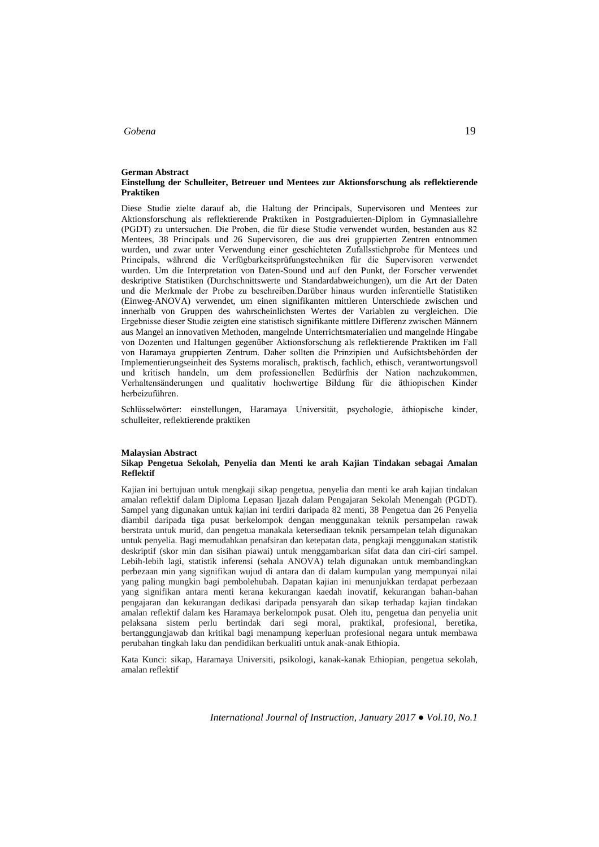#### **German Abstract Einstellung der Schulleiter, Betreuer und Mentees zur Aktionsforschung als reflektierende Praktiken**

Diese Studie zielte darauf ab, die Haltung der Principals, Supervisoren und Mentees zur Aktionsforschung als reflektierende Praktiken in Postgraduierten-Diplom in Gymnasiallehre (PGDT) zu untersuchen. Die Proben, die für diese Studie verwendet wurden, bestanden aus 82 Mentees, 38 Principals und 26 Supervisoren, die aus drei gruppierten Zentren entnommen wurden, und zwar unter Verwendung einer geschichteten Zufallsstichprobe für Mentees und Principals, während die Verfügbarkeitsprüfungstechniken für die Supervisoren verwendet wurden. Um die Interpretation von Daten-Sound und auf den Punkt, der Forscher verwendet deskriptive Statistiken (Durchschnittswerte und Standardabweichungen), um die Art der Daten und die Merkmale der Probe zu beschreiben.Darüber hinaus wurden inferentielle Statistiken (Einweg-ANOVA) verwendet, um einen signifikanten mittleren Unterschiede zwischen und innerhalb von Gruppen des wahrscheinlichsten Wertes der Variablen zu vergleichen. Die Ergebnisse dieser Studie zeigten eine statistisch signifikante mittlere Differenz zwischen Männern aus Mangel an innovativen Methoden, mangelnde Unterrichtsmaterialien und mangelnde Hingabe von Dozenten und Haltungen gegenüber Aktionsforschung als reflektierende Praktiken im Fall von Haramaya gruppierten Zentrum. Daher sollten die Prinzipien und Aufsichtsbehörden der Implementierungseinheit des Systems moralisch, praktisch, fachlich, ethisch, verantwortungsvoll und kritisch handeln, um dem professionellen Bedürfnis der Nation nachzukommen, Verhaltensänderungen und qualitativ hochwertige Bildung für die äthiopischen Kinder herbeizuführen.

Schlüsselwörter: einstellungen, Haramaya Universität, psychologie, äthiopische kinder, schulleiter, reflektierende praktiken

#### **Malaysian Abstract**

#### **Sikap Pengetua Sekolah, Penyelia dan Menti ke arah Kajian Tindakan sebagai Amalan Reflektif**

Kajian ini bertujuan untuk mengkaji sikap pengetua, penyelia dan menti ke arah kajian tindakan amalan reflektif dalam Diploma Lepasan Ijazah dalam Pengajaran Sekolah Menengah (PGDT). Sampel yang digunakan untuk kajian ini terdiri daripada 82 menti, 38 Pengetua dan 26 Penyelia diambil daripada tiga pusat berkelompok dengan menggunakan teknik persampelan rawak berstrata untuk murid, dan pengetua manakala ketersediaan teknik persampelan telah digunakan untuk penyelia. Bagi memudahkan penafsiran dan ketepatan data, pengkaji menggunakan statistik deskriptif (skor min dan sisihan piawai) untuk menggambarkan sifat data dan ciri-ciri sampel. Lebih-lebih lagi, statistik inferensi (sehala ANOVA) telah digunakan untuk membandingkan perbezaan min yang signifikan wujud di antara dan di dalam kumpulan yang mempunyai nilai yang paling mungkin bagi pembolehubah. Dapatan kajian ini menunjukkan terdapat perbezaan yang signifikan antara menti kerana kekurangan kaedah inovatif, kekurangan bahan-bahan pengajaran dan kekurangan dedikasi daripada pensyarah dan sikap terhadap kajian tindakan amalan reflektif dalam kes Haramaya berkelompok pusat. Oleh itu, pengetua dan penyelia unit pelaksana sistem perlu bertindak dari segi moral, praktikal, profesional, beretika, bertanggungjawab dan kritikal bagi menampung keperluan profesional negara untuk membawa perubahan tingkah laku dan pendidikan berkualiti untuk anak-anak Ethiopia.

Kata Kunci: sikap, Haramaya Universiti, psikologi, kanak-kanak Ethiopian, pengetua sekolah, amalan reflektif